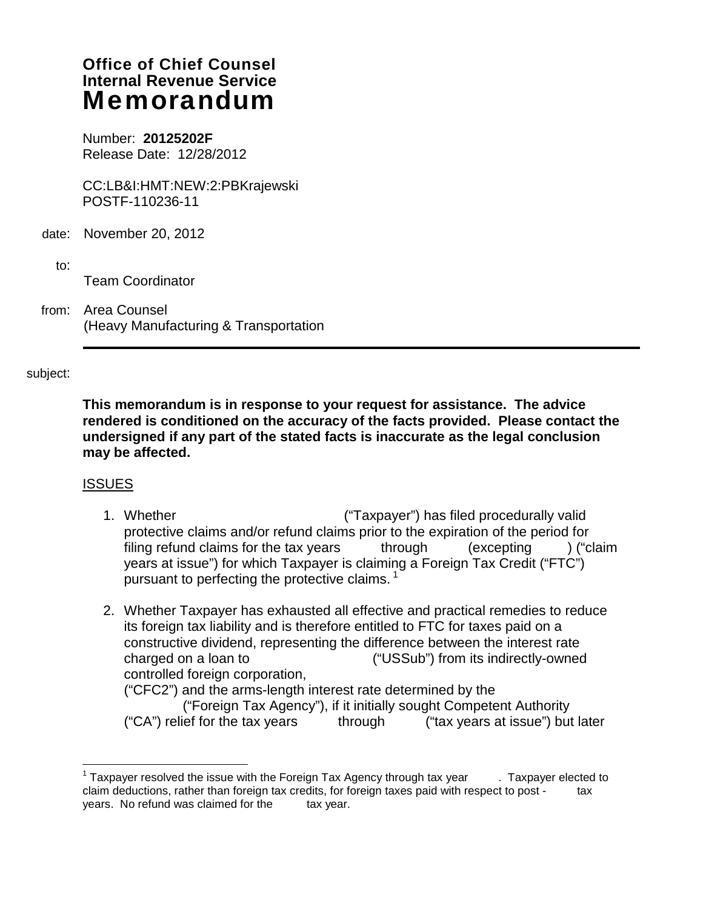# **Office of Chief Counsel Internal Revenue Service**  Memorandum

Number: **20125202F**  Release Date: 12/28/2012

CC:LB&I:HMT:NEW:2:PBKrajewski POSTF-110236-11

- date: November 20, 2012
	- to: ---------------------

Team Coordinator

from: Area Counsel (Heavy Manufacturing & Transportation

### subject:

**This memorandum is in response to your request for assistance. The advice rendered is conditioned on the accuracy of the facts provided. Please contact the undersigned if any part of the stated facts is inaccurate as the legal conclusion may be affected.** 

### **ISSUES**

 $\overline{a}$ 

- 1. Whether ----------------------------------- ("Taxpayer") has filed procedurally valid protective claims and/or refund claims prior to the expiration of the period for filing refund claims for the tax years  $\frac{1}{2}$  through  $\frac{1}{2}$  ("claim  $\frac{1}{2}$  ("claim years at issue") for which Taxpayer is claiming a Foreign Tax Credit ("FTC") pursuant to perfecting the protective claims.<sup>1</sup>
- 2. Whether Taxpayer has exhausted all effective and practical remedies to reduce its foreign tax liability and is therefore entitled to FTC for taxes paid on a constructive dividend, representing the difference between the interest rate charged on a loan to --------------------------("USSub") from its indirectly-owned controlled foreign corporation,

 $('CFC2")$  and the arms-length interest rate determined by the ("Foreign Tax Agency"), if it initially sought Competent Authority ("CA") relief for the tax years --------through --------("tax years at issue") but later

 $1$  Taxpayer resolved the issue with the Foreign Tax Agency through tax year  $\qquad \ldots$  Taxpayer elected to claim deductions, rather than foreign tax credits, for foreign taxes paid with respect to post -------------years. No refund was claimed for the tax year.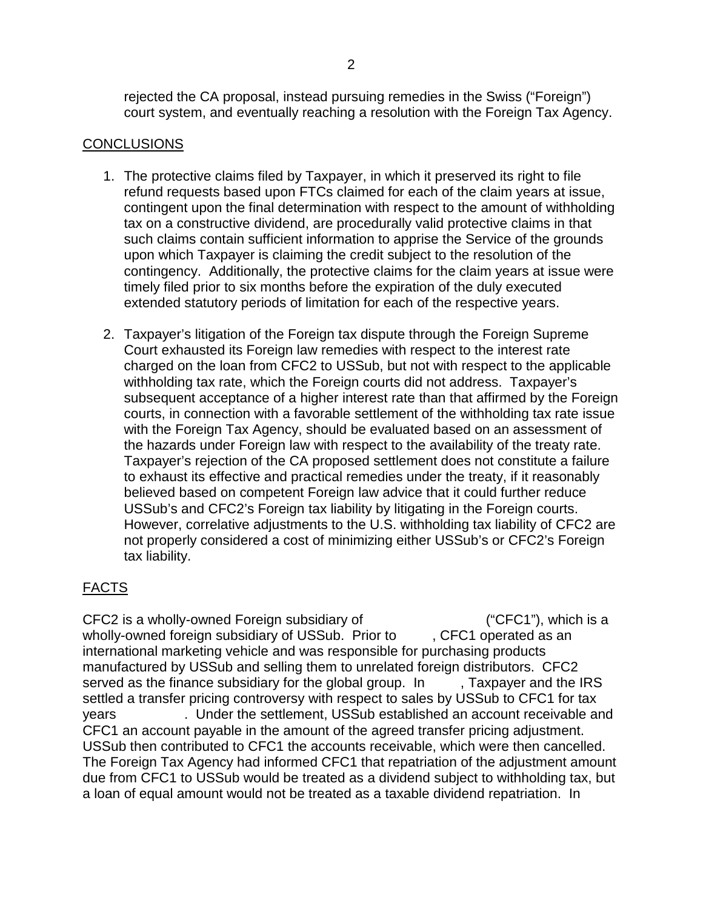rejected the CA proposal, instead pursuing remedies in the Swiss ("Foreign") court system, and eventually reaching a resolution with the Foreign Tax Agency.

## CONCLUSIONS

- 1. The protective claims filed by Taxpayer, in which it preserved its right to file refund requests based upon FTCs claimed for each of the claim years at issue, contingent upon the final determination with respect to the amount of withholding tax on a constructive dividend, are procedurally valid protective claims in that such claims contain sufficient information to apprise the Service of the grounds upon which Taxpayer is claiming the credit subject to the resolution of the contingency. Additionally, the protective claims for the claim years at issue were timely filed prior to six months before the expiration of the duly executed extended statutory periods of limitation for each of the respective years.
- 2. Taxpayer's litigation of the Foreign tax dispute through the Foreign Supreme Court exhausted its Foreign law remedies with respect to the interest rate charged on the loan from CFC2 to USSub, but not with respect to the applicable withholding tax rate, which the Foreign courts did not address. Taxpayer's subsequent acceptance of a higher interest rate than that affirmed by the Foreign courts, in connection with a favorable settlement of the withholding tax rate issue with the Foreign Tax Agency, should be evaluated based on an assessment of the hazards under Foreign law with respect to the availability of the treaty rate. Taxpayer's rejection of the CA proposed settlement does not constitute a failure to exhaust its effective and practical remedies under the treaty, if it reasonably believed based on competent Foreign law advice that it could further reduce USSub's and CFC2's Foreign tax liability by litigating in the Foreign courts. However, correlative adjustments to the U.S. withholding tax liability of CFC2 are not properly considered a cost of minimizing either USSub's or CFC2's Foreign tax liability.

# FACTS

CFC2 is a wholly-owned Foreign subsidiary of  $("CFC1")$ , which is a wholly-owned foreign subsidiary of USSub. Prior to , CFC1 operated as an international marketing vehicle and was responsible for purchasing products manufactured by USSub and selling them to unrelated foreign distributors. CFC2 served as the finance subsidiary for the global group. In Faxpayer and the IRS settled a transfer pricing controversy with respect to sales by USSub to CFC1 for tax years The Under the settlement, USSub established an account receivable and CFC1 an account payable in the amount of the agreed transfer pricing adjustment. USSub then contributed to CFC1 the accounts receivable, which were then cancelled. The Foreign Tax Agency had informed CFC1 that repatriation of the adjustment amount due from CFC1 to USSub would be treated as a dividend subject to withholding tax, but a loan of equal amount would not be treated as a taxable dividend repatriation. In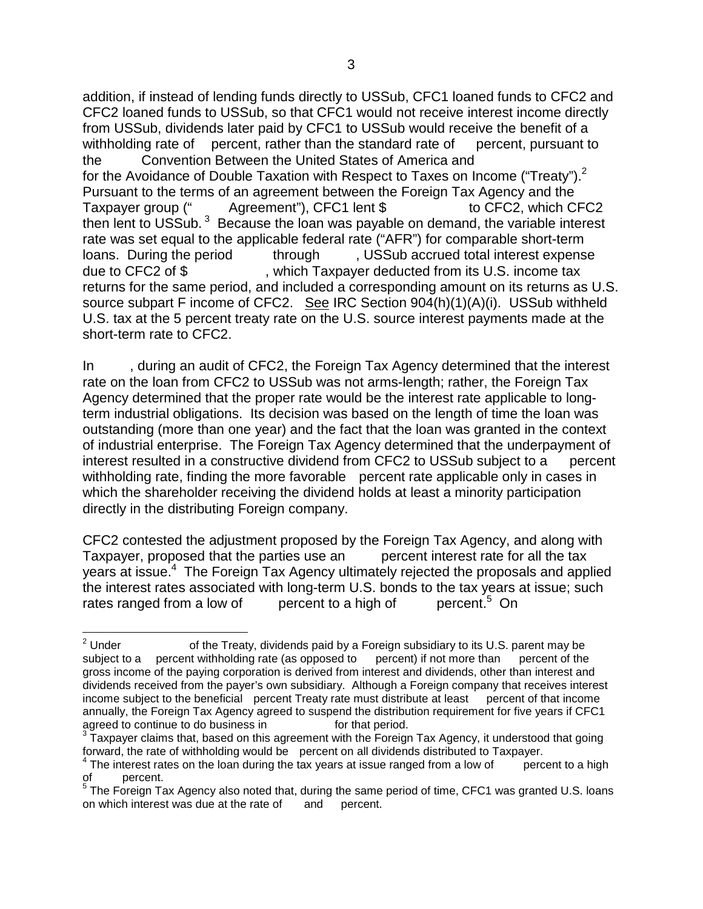addition, if instead of lending funds directly to USSub, CFC1 loaned funds to CFC2 and CFC2 loaned funds to USSub, so that CFC1 would not receive interest income directly from USSub, dividends later paid by CFC1 to USSub would receive the benefit of a withholding rate of --- percent, rather than the standard rate of ---- percent, pursuant to the Convention Between the United States of America and for the Avoidance of Double Taxation with Respect to Taxes on Income ("Treaty").<sup>2</sup> Pursuant to the terms of an agreement between the Foreign Tax Agency and the Taxpayer group (" Agreement"), CFC1 lent \$ to CFC2, which CFC2 then lent to USSub.  $3$  Because the loan was payable on demand, the variable interest rate was set equal to the applicable federal rate ("AFR") for comparable short-term loans. During the period through  $\blacksquare$ , USSub accrued total interest expense due to CFC2 of \$, which Taxpayer deducted from its U.S. income tax returns for the same period, and included a corresponding amount on its returns as U.S. source subpart F income of CFC2. See IRC Section 904(h)(1)(A)(i). USSub withheld U.S. tax at the 5 percent treaty rate on the U.S. source interest payments made at the short-term rate to CFC2.

In during an audit of CFC2, the Foreign Tax Agency determined that the interest rate on the loan from CFC2 to USSub was not arms-length; rather, the Foreign Tax Agency determined that the proper rate would be the interest rate applicable to longterm industrial obligations. Its decision was based on the length of time the loan was outstanding (more than one year) and the fact that the loan was granted in the context of industrial enterprise. The Foreign Tax Agency determined that the underpayment of interest resulted in a constructive dividend from CFC2 to USSub subject to a percent withholding rate, finding the more favorable - percent rate applicable only in cases in which the shareholder receiving the dividend holds at least a minority participation directly in the distributing Foreign company.

CFC2 contested the adjustment proposed by the Foreign Tax Agency, and along with Taxpayer, proposed that the parties use an experient interest rate for all the tax years at issue.<sup>4</sup> The Foreign Tax Agency ultimately rejected the proposals and applied the interest rates associated with long-term U.S. bonds to the tax years at issue; such rates ranged from a low of -------percent to a high of --------percent.<sup>5</sup>  $percent<sup>5</sup>$  On

 $\frac{1}{2}$ of the Treaty, dividends paid by a Foreign subsidiary to its U.S. parent may be subject to a ---percent withholding rate (as opposed to ----percent) if not more than ----percent of the gross income of the paying corporation is derived from interest and dividends, other than interest and dividends received from the payer's own subsidiary. Although a Foreign company that receives interest income subject to the beneficial - percent Treaty rate must distribute at least --- percent of that income annually, the Foreign Tax Agency agreed to suspend the distribution requirement for five years if CFC1 agreed to continue to do business in for that period.

Taxpayer claims that, based on this agreement with the Foreign Tax Agency, it understood that going forward, the rate of withholding would be percent on all dividends distributed to Taxpayer.<br> $4$  The interest rates on the loan during the tax years at issue ranged from a low of percent to a high

 $4$  The interest rates on the loan during the tax years at issue ranged from a low of

of \_\_\_\_percent.<br><sup>5</sup> The Foreign Tax Agency also noted that, during the same period of time, CFC1 was granted U.S. loans <sub>.</sub> on which interest was due at the rate of and percent.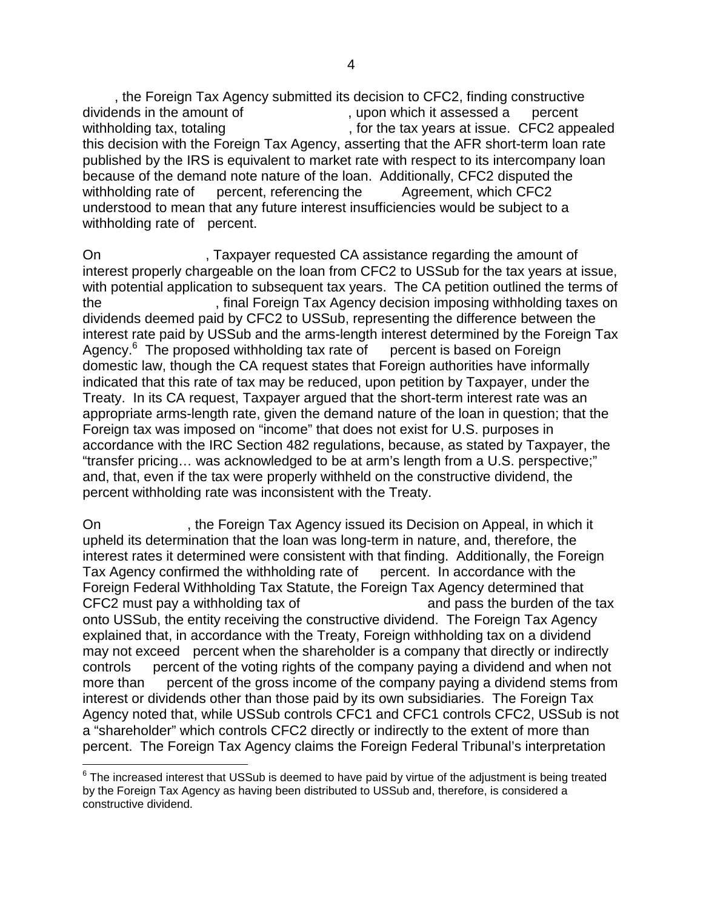, the Foreign Tax Agency submitted its decision to CFC2, finding constructive dividends in the amount of ----------------------, upon which it assessed a ----percent withholding tax, totaling  $\blacksquare$ , for the tax years at issue. CFC2 appealed this decision with the Foreign Tax Agency, asserting that the AFR short-term loan rate published by the IRS is equivalent to market rate with respect to its intercompany loan because of the demand note nature of the loan. Additionally, CFC2 disputed the withholding rate of ----percent, referencing the ------- Agreement, which CFC2 understood to mean that any future interest insufficiencies would be subject to a withholding rate of percent.

On  $\sim$ , Taxpayer requested CA assistance regarding the amount of interest properly chargeable on the loan from CFC2 to USSub for the tax years at issue, with potential application to subsequent tax years. The CA petition outlined the terms of the ------------------------, final Foreign Tax Agency decision imposing withholding taxes on dividends deemed paid by CFC2 to USSub, representing the difference between the interest rate paid by USSub and the arms-length interest determined by the Foreign Tax Agency. $6$  The proposed withholding tax rate of  $-$  percent is based on Foreign domestic law, though the CA request states that Foreign authorities have informally indicated that this rate of tax may be reduced, upon petition by Taxpayer, under the Treaty. In its CA request, Taxpayer argued that the short-term interest rate was an appropriate arms-length rate, given the demand nature of the loan in question; that the Foreign tax was imposed on "income" that does not exist for U.S. purposes in accordance with the IRC Section 482 regulations, because, as stated by Taxpayer, the "transfer pricing… was acknowledged to be at arm's length from a U.S. perspective;" and, that, even if the tax were properly withheld on the constructive dividend, the percent withholding rate was inconsistent with the Treaty.

On ------------------, the Foreign Tax Agency issued its Decision on Appeal, in which it upheld its determination that the loan was long-term in nature, and, therefore, the interest rates it determined were consistent with that finding. Additionally, the Foreign Tax Agency confirmed the withholding rate of percent. In accordance with the Foreign Federal Withholding Tax Statute, the Foreign Tax Agency determined that CFC2 must pay a withholding tax of  $\qquad \qquad$  and pass the burden of the tax onto USSub, the entity receiving the constructive dividend. The Foreign Tax Agency explained that, in accordance with the Treaty, Foreign withholding tax on a dividend may not exceed percent when the shareholder is a company that directly or indirectly controls ----percent of the voting rights of the company paying a dividend and when not more than ----percent of the gross income of the company paying a dividend stems from interest or dividends other than those paid by its own subsidiaries. The Foreign Tax Agency noted that, while USSub controls CFC1 and CFC1 controls CFC2, USSub is not a "shareholder" which controls CFC2 directly or indirectly to the extent of more than percent. The Foreign Tax Agency claims the Foreign Federal Tribunal's interpretation

 6 The increased interest that USSub is deemed to have paid by virtue of the adjustment is being treated by the Foreign Tax Agency as having been distributed to USSub and, therefore, is considered a constructive dividend.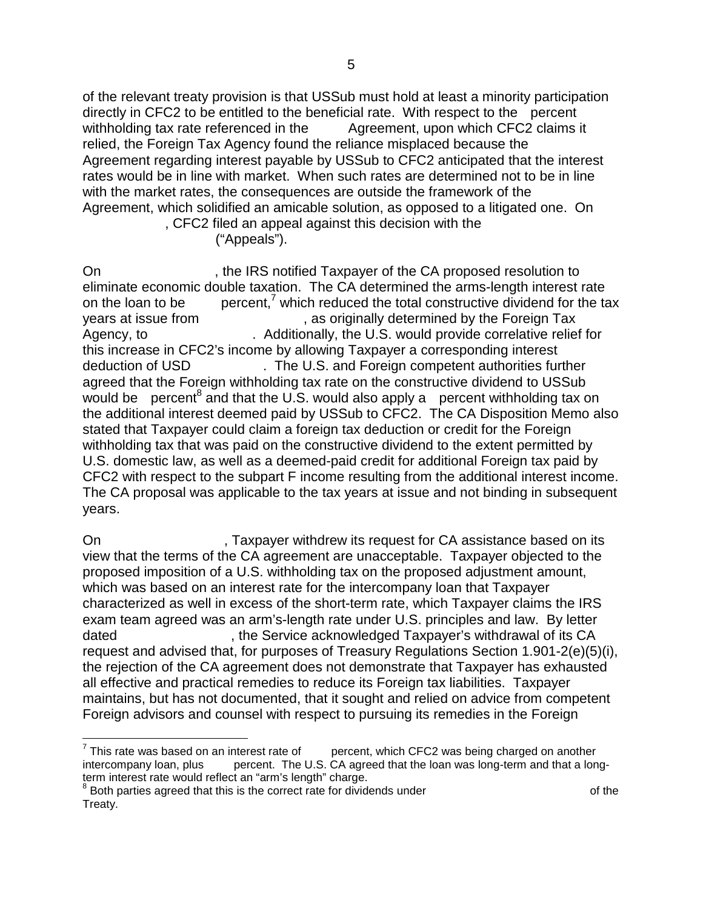of the relevant treaty provision is that USSub must hold at least a minority participation directly in CFC2 to be entitled to the beneficial rate. With respect to the percent withholding tax rate referenced in the ------- Agreement, upon which CFC2 claims it relied, the Foreign Tax Agency found the reliance misplaced because the Agreement regarding interest payable by USSub to CFC2 anticipated that the interest rates would be in line with market. When such rates are determined not to be in line with the market rates, the consequences are outside the framework of the Agreement, which solidified an amicable solution, as opposed to a litigated one. On

. CFC2 filed an appeal against this decision with the ("Appeals").

On example 18 positive IRS notified Taxpayer of the CA proposed resolution to eliminate economic double taxation. The CA determined the arms-length interest rate on the loan to be percent, $\frac{7}{1}$  which reduced the total constructive dividend for the tax years at issue from  $\qquad \qquad$ , as originally determined by the Foreign Tax Agency, to Additionally, the U.S. would provide correlative relief for this increase in CFC2's income by allowing Taxpayer a corresponding interest deduction of USD ---------------. The U.S. and Foreign competent authorities further agreed that the Foreign withholding tax rate on the constructive dividend to USSub would be percent<sup>8</sup> and that the U.S. would also apply a percent withholding tax on the additional interest deemed paid by USSub to CFC2. The CA Disposition Memo also stated that Taxpayer could claim a foreign tax deduction or credit for the Foreign withholding tax that was paid on the constructive dividend to the extent permitted by U.S. domestic law, as well as a deemed-paid credit for additional Foreign tax paid by CFC2 with respect to the subpart F income resulting from the additional interest income. The CA proposal was applicable to the tax years at issue and not binding in subsequent years.

On  $\blacksquare$ , Taxpayer withdrew its request for CA assistance based on its view that the terms of the CA agreement are unacceptable. Taxpayer objected to the proposed imposition of a U.S. withholding tax on the proposed adjustment amount, which was based on an interest rate for the intercompany loan that Taxpayer characterized as well in excess of the short-term rate, which Taxpayer claims the IRS exam team agreed was an arm's-length rate under U.S. principles and law. By letter dated  $\blacksquare$ , the Service acknowledged Taxpayer's withdrawal of its CA request and advised that, for purposes of Treasury Regulations Section 1.901-2(e)(5)(i), the rejection of the CA agreement does not demonstrate that Taxpayer has exhausted all effective and practical remedies to reduce its Foreign tax liabilities. Taxpayer maintains, but has not documented, that it sought and relied on advice from competent Foreign advisors and counsel with respect to pursuing its remedies in the Foreign

<sup>&</sup>lt;u>.</u>  $7$  This rate was based on an interest rate of percent, which CFC2 was being charged on another intercompany loan, plus -------percent. The U.S. CA agreed that the loan was long-term and that a longterm interest rate would reflect an "arm's length" charge.

<sup>&</sup>lt;sup>8</sup> Both parties agreed that this is the correct rate for dividends under example of the Treaty.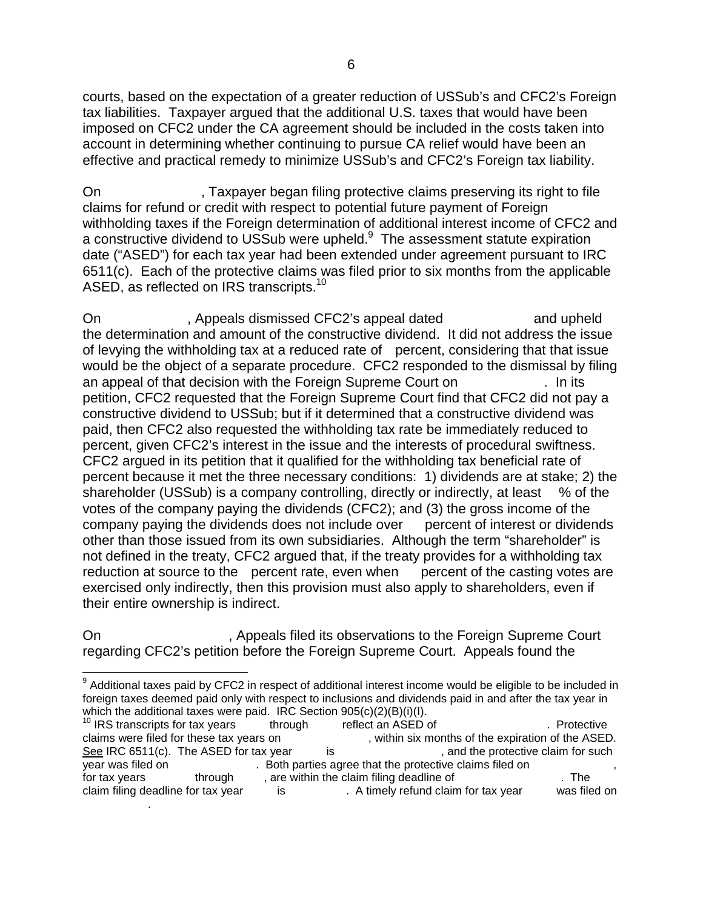courts, based on the expectation of a greater reduction of USSub's and CFC2's Foreign tax liabilities. Taxpayer argued that the additional U.S. taxes that would have been imposed on CFC2 under the CA agreement should be included in the costs taken into account in determining whether continuing to pursue CA relief would have been an effective and practical remedy to minimize USSub's and CFC2's Foreign tax liability.

On  $\blacksquare$ . Taxpayer began filing protective claims preserving its right to file claims for refund or credit with respect to potential future payment of Foreign withholding taxes if the Foreign determination of additional interest income of CFC2 and a constructive dividend to USSub were upheld. $9$  The assessment statute expiration date ("ASED") for each tax year had been extended under agreement pursuant to IRC 6511(c). Each of the protective claims was filed prior to six months from the applicable ASED, as reflected on IRS transcripts.<sup>10</sup>

On Appeals dismissed CFC2's appeal dated and upheld the determination and amount of the constructive dividend. It did not address the issue of levying the withholding tax at a reduced rate of percent, considering that that issue would be the object of a separate procedure. CFC2 responded to the dismissal by filing an appeal of that decision with the Foreign Supreme Court on Theorem 2016. In its petition, CFC2 requested that the Foreign Supreme Court find that CFC2 did not pay a constructive dividend to USSub; but if it determined that a constructive dividend was paid, then CFC2 also requested the withholding tax rate be immediately reduced to percent, given CFC2's interest in the issue and the interests of procedural swiftness. CFC2 argued in its petition that it qualified for the withholding tax beneficial rate of percent because it met the three necessary conditions: 1) dividends are at stake; 2) the shareholder (USSub) is a company controlling, directly or indirectly, at least  $-$ % of the votes of the company paying the dividends (CFC2); and (3) the gross income of the company paying the dividends does not include over percent of interest or dividends other than those issued from its own subsidiaries. Although the term "shareholder" is not defined in the treaty, CFC2 argued that, if the treaty provides for a withholding tax reduction at source to the percent rate, even when percent of the casting votes are exercised only indirectly, then this provision must also apply to shareholders, even if their entire ownership is indirect.

On  $\blacksquare$ , Appeals filed its observations to the Foreign Supreme Court regarding CFC2's petition before the Foreign Supreme Court. Appeals found the

-----------------.

 9 Additional taxes paid by CFC2 in respect of additional interest income would be eligible to be included in foreign taxes deemed paid only with respect to inclusions and dividends paid in and after the tax year in which the additional taxes were paid. IRC Section 905(c)(2)(B)(i)(I).

<sup>10</sup> IRS transcripts for tax years --------through --------reflect an ASED of ----------------------------. Protective , within six months of the expiration of the ASED. See IRC 6511(c). The ASED for tax year is earch is the protective claim for such year was filed on the ASED for tax year is that the protective claims filed on . Both parties agree that the protective claims filed on for tax years through through through through the claim filing deadline of the -------------------------------<br>claim filing deadline for tax year the state of the state of the state of claim for tax year the vas filed on claim filing deadline for tax year --------is ---------------. A timely refund claim for tax year --------was filed on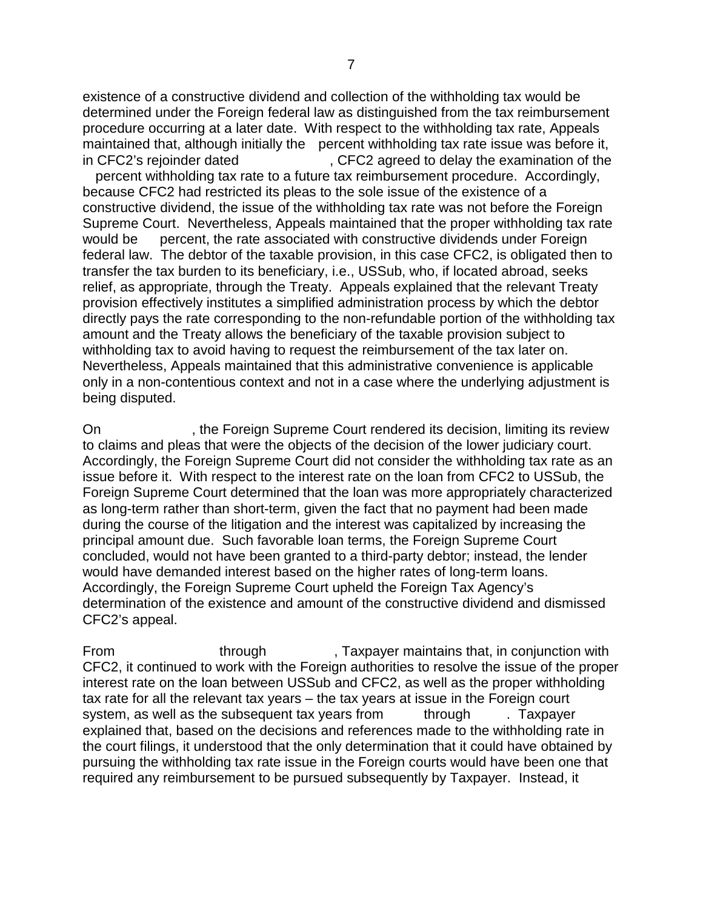existence of a constructive dividend and collection of the withholding tax would be determined under the Foreign federal law as distinguished from the tax reimbursement procedure occurring at a later date. With respect to the withholding tax rate, Appeals maintained that, although initially the percent withholding tax rate issue was before it, in CFC2's rejoinder dated  $\overline{\phantom{a}}$ , CFC2 agreed to delay the examination of the percent withholding tax rate to a future tax reimbursement procedure. Accordingly, because CFC2 had restricted its pleas to the sole issue of the existence of a constructive dividend, the issue of the withholding tax rate was not before the Foreign Supreme Court. Nevertheless, Appeals maintained that the proper withholding tax rate would be percent, the rate associated with constructive dividends under Foreign federal law. The debtor of the taxable provision, in this case CFC2, is obligated then to transfer the tax burden to its beneficiary, i.e., USSub, who, if located abroad, seeks relief, as appropriate, through the Treaty. Appeals explained that the relevant Treaty provision effectively institutes a simplified administration process by which the debtor directly pays the rate corresponding to the non-refundable portion of the withholding tax amount and the Treaty allows the beneficiary of the taxable provision subject to withholding tax to avoid having to request the reimbursement of the tax later on. Nevertheless, Appeals maintained that this administrative convenience is applicable only in a non-contentious context and not in a case where the underlying adjustment is being disputed.

On example 5 and 5 years of the Foreign Supreme Court rendered its decision, limiting its review to claims and pleas that were the objects of the decision of the lower judiciary court. Accordingly, the Foreign Supreme Court did not consider the withholding tax rate as an issue before it. With respect to the interest rate on the loan from CFC2 to USSub, the Foreign Supreme Court determined that the loan was more appropriately characterized as long-term rather than short-term, given the fact that no payment had been made during the course of the litigation and the interest was capitalized by increasing the principal amount due. Such favorable loan terms, the Foreign Supreme Court concluded, would not have been granted to a third-party debtor; instead, the lender would have demanded interest based on the higher rates of long-term loans. Accordingly, the Foreign Supreme Court upheld the Foreign Tax Agency's determination of the existence and amount of the constructive dividend and dismissed CFC2's appeal.

From through From through From the state of the state of through  $\sim$ , Taxpayer maintains that, in conjunction with CFC2, it continued to work with the Foreign authorities to resolve the issue of the proper interest rate on the loan between USSub and CFC2, as well as the proper withholding tax rate for all the relevant tax years – the tax years at issue in the Foreign court system, as well as the subsequent tax years from through . Taxpayer explained that, based on the decisions and references made to the withholding rate in the court filings, it understood that the only determination that it could have obtained by pursuing the withholding tax rate issue in the Foreign courts would have been one that required any reimbursement to be pursued subsequently by Taxpayer. Instead, it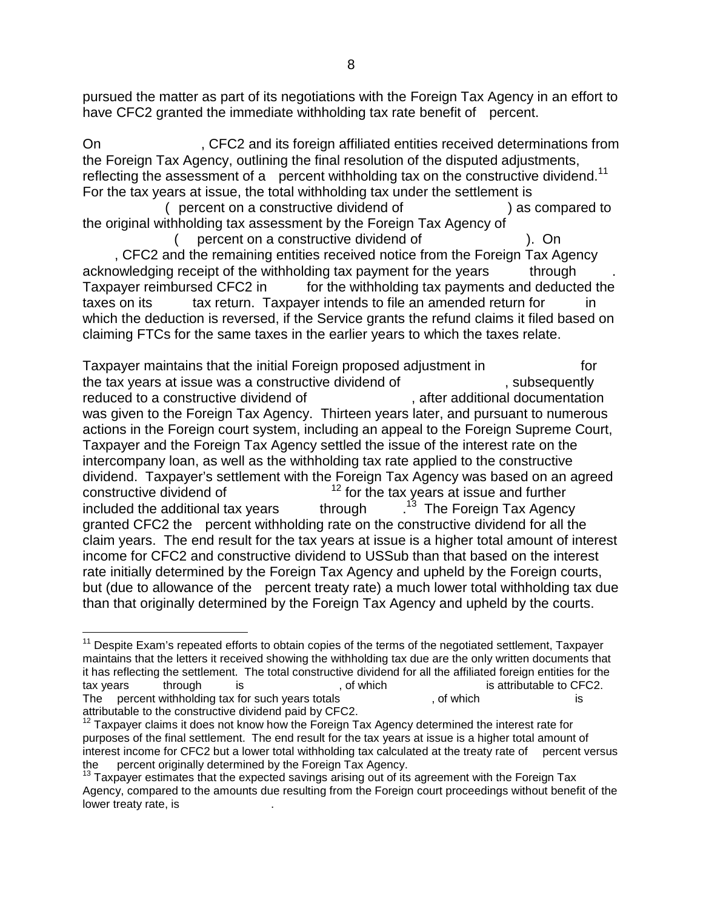pursued the matter as part of its negotiations with the Foreign Tax Agency in an effort to have CFC2 granted the immediate withholding tax rate benefit of percent.

On  $\sim$ -CFC2 and its foreign affiliated entities received determinations from the Foreign Tax Agency, outlining the final resolution of the disputed adjustments, reflecting the assessment of a - percent withholding tax on the constructive dividend.<sup>11</sup> For the tax years at issue, the total withholding tax under the settlement is

( percent on a constructive dividend of  $\qquad \qquad$  ) as compared to the original withholding tax assessment by the Foreign Tax Agency of

percent on a constructive dividend of  $\Box$ . CFC2 and the remaining entities received notice from the Foreign Tax Agency acknowledging receipt of the withholding tax payment for the years through Taxpayer reimbursed CFC2 in for the withholding tax payments and deducted the taxes on its tax return. Taxpayer intends to file an amended return for in which the deduction is reversed, if the Service grants the refund claims it filed based on claiming FTCs for the same taxes in the earlier years to which the taxes relate.

Taxpayer maintains that the initial Foreign proposed adjustment in --------------------for the tax years at issue was a constructive dividend of  $\qquad \qquad$ , subsequently reduced to a constructive dividend of  $\qquad \qquad$ , after additional documentation was given to the Foreign Tax Agency. Thirteen years later, and pursuant to numerous actions in the Foreign court system, including an appeal to the Foreign Supreme Court, Taxpayer and the Foreign Tax Agency settled the issue of the interest rate on the intercompany loan, as well as the withholding tax rate applied to the constructive dividend. Taxpayer's settlement with the Foreign Tax Agency was based on an agreed constructive dividend of  $\frac{12}{12}$  for the tax years at issue and further included the additional tax years through  $1<sup>13</sup>$  The Foreign Tax Agency granted CFC2 the percent withholding rate on the constructive dividend for all the claim years. The end result for the tax years at issue is a higher total amount of interest income for CFC2 and constructive dividend to USSub than that based on the interest rate initially determined by the Foreign Tax Agency and upheld by the Foreign courts, but (due to allowance of the percent treaty rate) a much lower total withholding tax due than that originally determined by the Foreign Tax Agency and upheld by the courts.

 $\overline{a}$ 

<sup>&</sup>lt;sup>11</sup> Despite Exam's repeated efforts to obtain copies of the terms of the negotiated settlement, Taxpayer maintains that the letters it received showing the withholding tax due are the only written documents that it has reflecting the settlement. The total constructive dividend for all the affiliated foreign entities for the<br>tax years through is the state of the state is attributable to CFC2. tax years --------through --------is ------------------------, of which -------------------------is attributable to CFC2. The percent withholding tax for such years totals  $\qquad \qquad$ , of which  $\qquad \qquad$  is attributable to the constructive dividend paid by CFC2.

 $12$  Taxpayer claims it does not know how the Foreign Tax Agency determined the interest rate for purposes of the final settlement. The end result for the tax years at issue is a higher total amount of interest income for CFC2 but a lower total withholding tax calculated at the treaty rate of ---percent versus the ---percent originally determined by the Foreign Tax Agency.

the percent originally determined by the Foreign Tax Agency.<br><sup>13</sup> Taxpayer estimates that the expected savings arising out of its agreement with the Foreign Tax Agency, compared to the amounts due resulting from the Foreign court proceedings without benefit of the lower treaty rate, is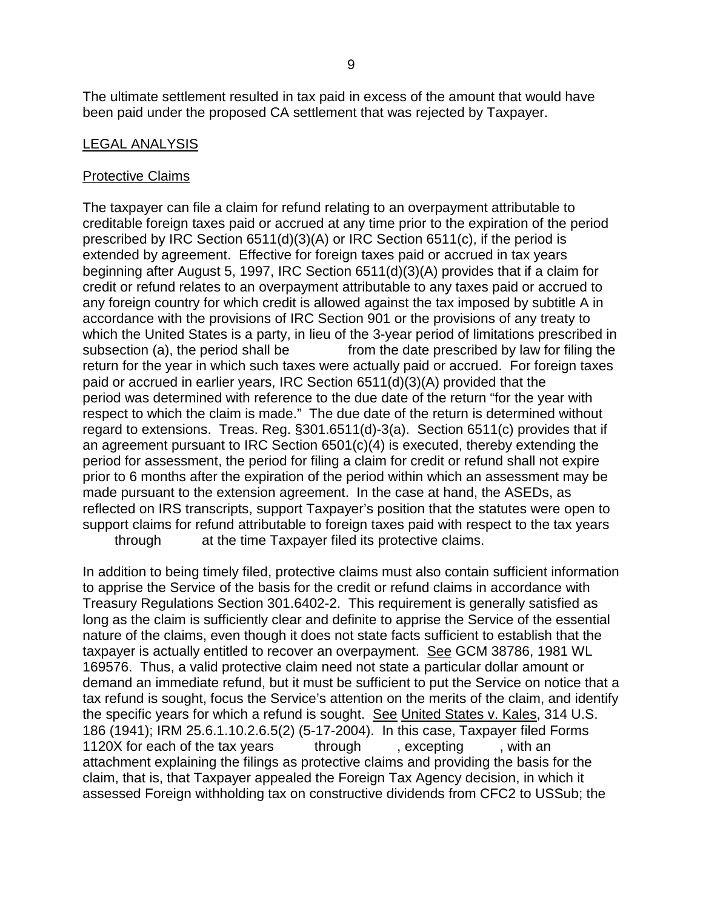The ultimate settlement resulted in tax paid in excess of the amount that would have been paid under the proposed CA settlement that was rejected by Taxpayer.

### LEGAL ANALYSIS

#### Protective Claims

The taxpayer can file a claim for refund relating to an overpayment attributable to creditable foreign taxes paid or accrued at any time prior to the expiration of the period prescribed by IRC Section 6511(d)(3)(A) or IRC Section 6511(c), if the period is extended by agreement. Effective for foreign taxes paid or accrued in tax years beginning after August 5, 1997, IRC Section 6511(d)(3)(A) provides that if a claim for credit or refund relates to an overpayment attributable to any taxes paid or accrued to any foreign country for which credit is allowed against the tax imposed by subtitle A in accordance with the provisions of IRC Section 901 or the provisions of any treaty to which the United States is a party, in lieu of the 3-year period of limitations prescribed in subsection (a), the period shall be ------------from the date prescribed by law for filing the return for the year in which such taxes were actually paid or accrued. For foreign taxes paid or accrued in earlier years, IRC Section  $6511(d)(3)(A)$  provided that the period was determined with reference to the due date of the return "for the year with respect to which the claim is made." The due date of the return is determined without regard to extensions. Treas. Reg. §301.6511(d)-3(a). Section 6511(c) provides that if an agreement pursuant to IRC Section 6501(c)(4) is executed, thereby extending the period for assessment, the period for filing a claim for credit or refund shall not expire prior to 6 months after the expiration of the period within which an assessment may be made pursuant to the extension agreement. In the case at hand, the ASEDs, as reflected on IRS transcripts, support Taxpayer's position that the statutes were open to support claims for refund attributable to foreign taxes paid with respect to the tax years through at the time Taxpayer filed its protective claims.

In addition to being timely filed, protective claims must also contain sufficient information to apprise the Service of the basis for the credit or refund claims in accordance with Treasury Regulations Section 301.6402-2. This requirement is generally satisfied as long as the claim is sufficiently clear and definite to apprise the Service of the essential nature of the claims, even though it does not state facts sufficient to establish that the taxpayer is actually entitled to recover an overpayment. See GCM 38786, 1981 WL 169576. Thus, a valid protective claim need not state a particular dollar amount or demand an immediate refund, but it must be sufficient to put the Service on notice that a tax refund is sought, focus the Service's attention on the merits of the claim, and identify the specific years for which a refund is sought. See United States v. Kales, 314 U.S. 186 (1941); IRM 25.6.1.10.2.6.5(2) (5-17-2004). In this case, Taxpayer filed Forms 1120X for each of the tax years  $\frac{1}{2}$  through  $\frac{1}{2}$  excepting  $\frac{1}{2}$  with an attachment explaining the filings as protective claims and providing the basis for the claim, that is, that Taxpayer appealed the Foreign Tax Agency decision, in which it assessed Foreign withholding tax on constructive dividends from CFC2 to USSub; the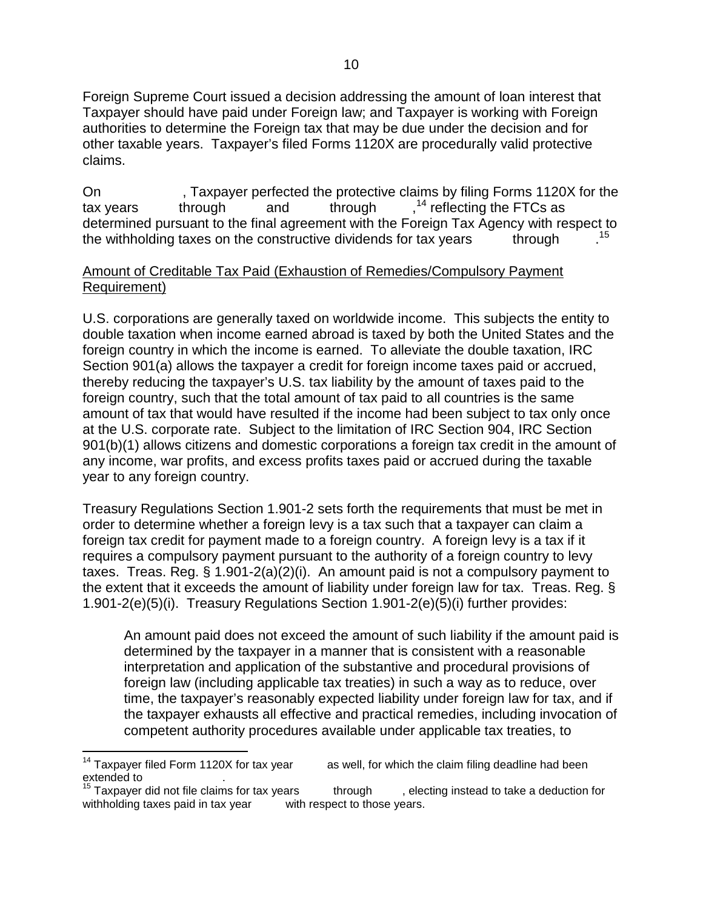Foreign Supreme Court issued a decision addressing the amount of loan interest that Taxpayer should have paid under Foreign law; and Taxpayer is working with Foreign authorities to determine the Foreign tax that may be due under the decision and for other taxable years. Taxpayer's filed Forms 1120X are procedurally valid protective claims.

On 5. Taxpayer perfected the protective claims by filing Forms 1120X for the tax years through and through  $14$  reflecting the FTCs as determined pursuant to the final agreement with the Foreign Tax Agency with respect to the withholding taxes on the constructive dividends for tax years through 15

### Amount of Creditable Tax Paid (Exhaustion of Remedies/Compulsory Payment Requirement)

U.S. corporations are generally taxed on worldwide income. This subjects the entity to double taxation when income earned abroad is taxed by both the United States and the foreign country in which the income is earned. To alleviate the double taxation, IRC Section 901(a) allows the taxpayer a credit for foreign income taxes paid or accrued, thereby reducing the taxpayer's U.S. tax liability by the amount of taxes paid to the foreign country, such that the total amount of tax paid to all countries is the same amount of tax that would have resulted if the income had been subject to tax only once at the U.S. corporate rate. Subject to the limitation of IRC Section 904, IRC Section 901(b)(1) allows citizens and domestic corporations a foreign tax credit in the amount of any income, war profits, and excess profits taxes paid or accrued during the taxable year to any foreign country.

Treasury Regulations Section 1.901-2 sets forth the requirements that must be met in order to determine whether a foreign levy is a tax such that a taxpayer can claim a foreign tax credit for payment made to a foreign country. A foreign levy is a tax if it requires a compulsory payment pursuant to the authority of a foreign country to levy taxes. Treas. Reg. § 1.901-2(a)(2)(i). An amount paid is not a compulsory payment to the extent that it exceeds the amount of liability under foreign law for tax. Treas. Reg. § 1.901-2(e)(5)(i). Treasury Regulations Section 1.901-2(e)(5)(i) further provides:

An amount paid does not exceed the amount of such liability if the amount paid is determined by the taxpayer in a manner that is consistent with a reasonable interpretation and application of the substantive and procedural provisions of foreign law (including applicable tax treaties) in such a way as to reduce, over time, the taxpayer's reasonably expected liability under foreign law for tax, and if the taxpayer exhausts all effective and practical remedies, including invocation of competent authority procedures available under applicable tax treaties, to

<sup>&</sup>lt;sup>14</sup> Taxpayer filed Form 1120X for tax year <sup>14</sup> Taxpayer filed Form 1120X for tax year  $\qquad \qquad$  as well, for which the claim filing deadline had been extended to

extended to --------------------. 15 Taxpayer did not file claims for tax years --------through -------, electing instead to take a deduction for withholding taxes paid in tax year with respect to those years.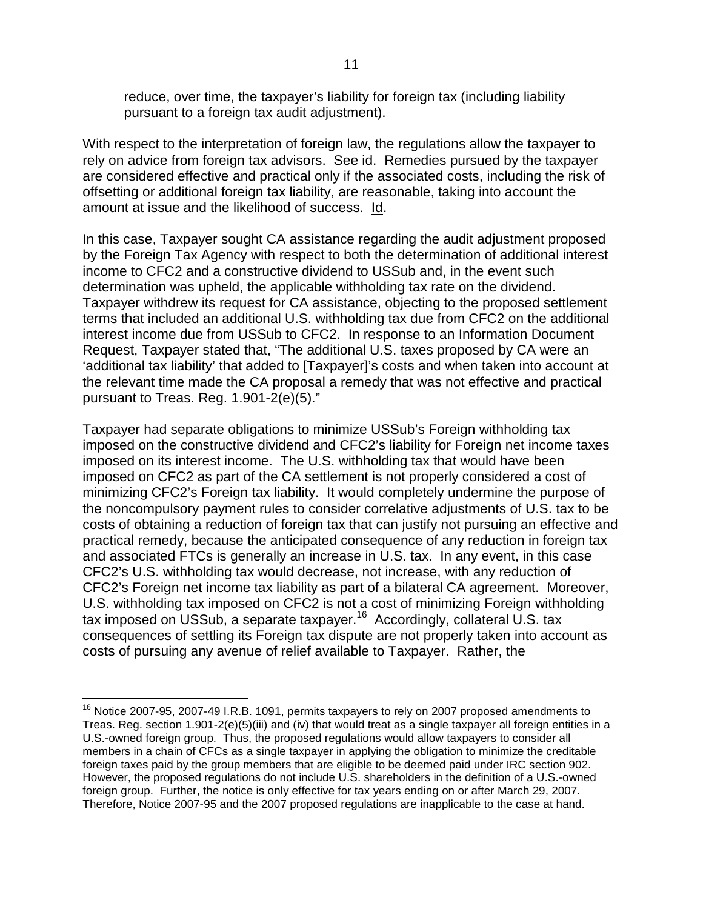reduce, over time, the taxpayer's liability for foreign tax (including liability pursuant to a foreign tax audit adjustment).

With respect to the interpretation of foreign law, the regulations allow the taxpayer to rely on advice from foreign tax advisors. See id. Remedies pursued by the taxpayer are considered effective and practical only if the associated costs, including the risk of offsetting or additional foreign tax liability, are reasonable, taking into account the amount at issue and the likelihood of success. Id.

In this case, Taxpayer sought CA assistance regarding the audit adjustment proposed by the Foreign Tax Agency with respect to both the determination of additional interest income to CFC2 and a constructive dividend to USSub and, in the event such determination was upheld, the applicable withholding tax rate on the dividend. Taxpayer withdrew its request for CA assistance, objecting to the proposed settlement terms that included an additional U.S. withholding tax due from CFC2 on the additional interest income due from USSub to CFC2. In response to an Information Document Request, Taxpayer stated that, "The additional U.S. taxes proposed by CA were an 'additional tax liability' that added to [Taxpayer]'s costs and when taken into account at the relevant time made the CA proposal a remedy that was not effective and practical pursuant to Treas. Reg. 1.901-2(e)(5)."

Taxpayer had separate obligations to minimize USSub's Foreign withholding tax imposed on the constructive dividend and CFC2's liability for Foreign net income taxes imposed on its interest income. The U.S. withholding tax that would have been imposed on CFC2 as part of the CA settlement is not properly considered a cost of minimizing CFC2's Foreign tax liability. It would completely undermine the purpose of the noncompulsory payment rules to consider correlative adjustments of U.S. tax to be costs of obtaining a reduction of foreign tax that can justify not pursuing an effective and practical remedy, because the anticipated consequence of any reduction in foreign tax and associated FTCs is generally an increase in U.S. tax. In any event, in this case CFC2's U.S. withholding tax would decrease, not increase, with any reduction of CFC2's Foreign net income tax liability as part of a bilateral CA agreement. Moreover, U.S. withholding tax imposed on CFC2 is not a cost of minimizing Foreign withholding tax imposed on USSub, a separate taxpayer.16 Accordingly, collateral U.S. tax consequences of settling its Foreign tax dispute are not properly taken into account as costs of pursuing any avenue of relief available to Taxpayer. Rather, the

 $\overline{a}$  $16$  Notice 2007-95, 2007-49 I.R.B. 1091, permits taxpayers to rely on 2007 proposed amendments to Treas. Reg. section 1.901-2(e)(5)(iii) and (iv) that would treat as a single taxpayer all foreign entities in a U.S.-owned foreign group. Thus, the proposed regulations would allow taxpayers to consider all members in a chain of CFCs as a single taxpayer in applying the obligation to minimize the creditable foreign taxes paid by the group members that are eligible to be deemed paid under IRC section 902. However, the proposed regulations do not include U.S. shareholders in the definition of a U.S.-owned foreign group. Further, the notice is only effective for tax years ending on or after March 29, 2007. Therefore, Notice 2007-95 and the 2007 proposed regulations are inapplicable to the case at hand.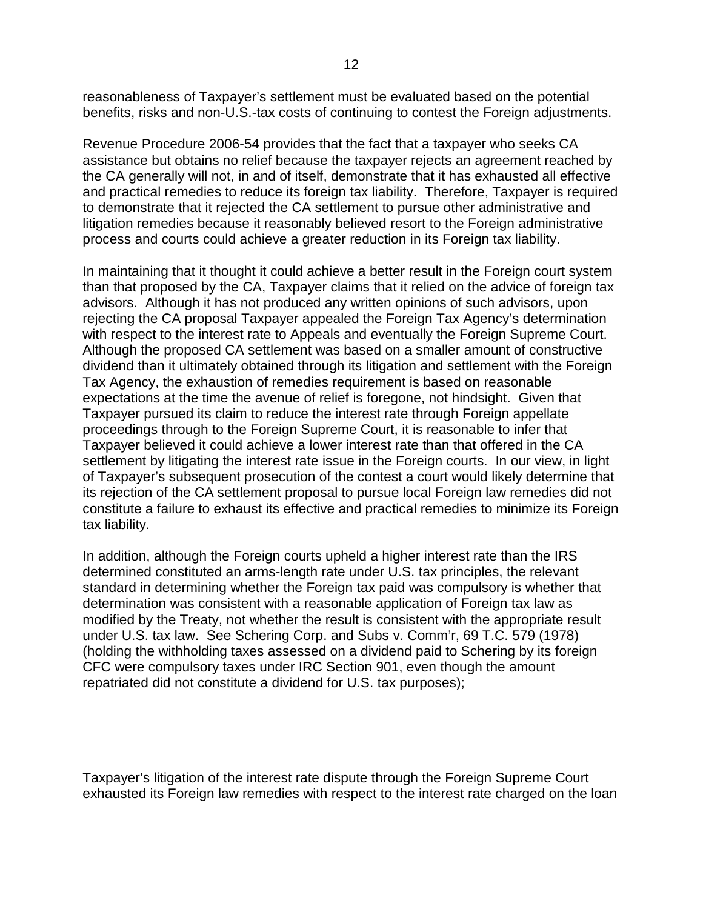reasonableness of Taxpayer's settlement must be evaluated based on the potential benefits, risks and non-U.S.-tax costs of continuing to contest the Foreign adjustments.

Revenue Procedure 2006-54 provides that the fact that a taxpayer who seeks CA assistance but obtains no relief because the taxpayer rejects an agreement reached by the CA generally will not, in and of itself, demonstrate that it has exhausted all effective and practical remedies to reduce its foreign tax liability. Therefore, Taxpayer is required to demonstrate that it rejected the CA settlement to pursue other administrative and litigation remedies because it reasonably believed resort to the Foreign administrative process and courts could achieve a greater reduction in its Foreign tax liability.

In maintaining that it thought it could achieve a better result in the Foreign court system than that proposed by the CA, Taxpayer claims that it relied on the advice of foreign tax advisors. Although it has not produced any written opinions of such advisors, upon rejecting the CA proposal Taxpayer appealed the Foreign Tax Agency's determination with respect to the interest rate to Appeals and eventually the Foreign Supreme Court. Although the proposed CA settlement was based on a smaller amount of constructive dividend than it ultimately obtained through its litigation and settlement with the Foreign Tax Agency, the exhaustion of remedies requirement is based on reasonable expectations at the time the avenue of relief is foregone, not hindsight. Given that Taxpayer pursued its claim to reduce the interest rate through Foreign appellate proceedings through to the Foreign Supreme Court, it is reasonable to infer that Taxpayer believed it could achieve a lower interest rate than that offered in the CA settlement by litigating the interest rate issue in the Foreign courts. In our view, in light of Taxpayer's subsequent prosecution of the contest a court would likely determine that its rejection of the CA settlement proposal to pursue local Foreign law remedies did not constitute a failure to exhaust its effective and practical remedies to minimize its Foreign tax liability.

In addition, although the Foreign courts upheld a higher interest rate than the IRS determined constituted an arms-length rate under U.S. tax principles, the relevant standard in determining whether the Foreign tax paid was compulsory is whether that determination was consistent with a reasonable application of Foreign tax law as modified by the Treaty, not whether the result is consistent with the appropriate result under U.S. tax law. See Schering Corp. and Subs v. Comm'r, 69 T.C. 579 (1978) (holding the withholding taxes assessed on a dividend paid to Schering by its foreign CFC were compulsory taxes under IRC Section 901, even though the amount repatriated did not constitute a dividend for U.S. tax purposes);

Taxpayer's litigation of the interest rate dispute through the Foreign Supreme Court exhausted its Foreign law remedies with respect to the interest rate charged on the loan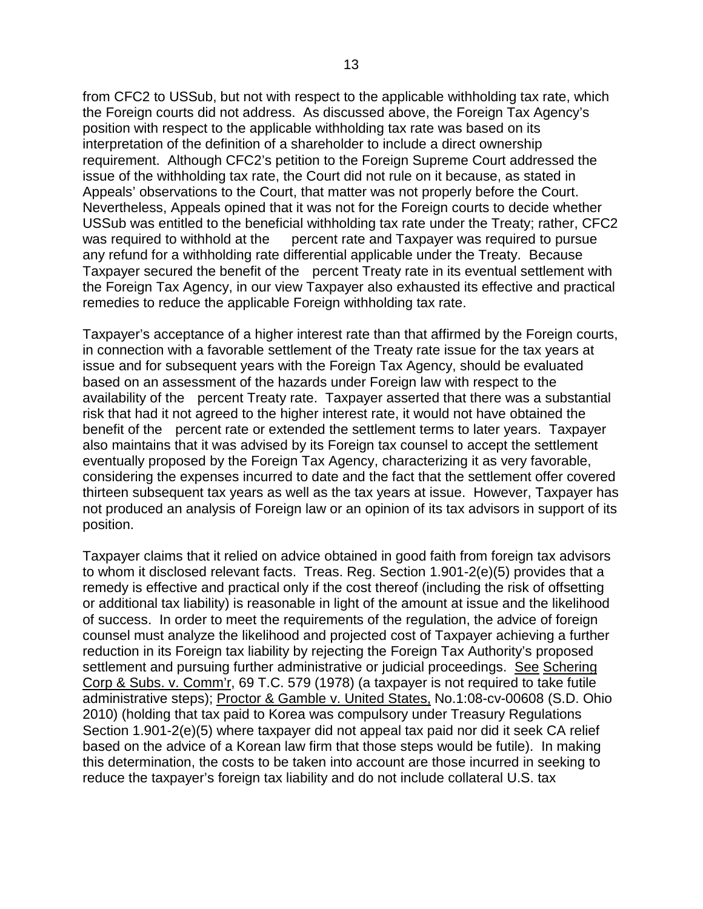from CFC2 to USSub, but not with respect to the applicable withholding tax rate, which the Foreign courts did not address. As discussed above, the Foreign Tax Agency's position with respect to the applicable withholding tax rate was based on its interpretation of the definition of a shareholder to include a direct ownership requirement. Although CFC2's petition to the Foreign Supreme Court addressed the issue of the withholding tax rate, the Court did not rule on it because, as stated in Appeals' observations to the Court, that matter was not properly before the Court. Nevertheless, Appeals opined that it was not for the Foreign courts to decide whether USSub was entitled to the beneficial withholding tax rate under the Treaty; rather, CFC2 was required to withhold at the percent rate and Taxpayer was required to pursue any refund for a withholding rate differential applicable under the Treaty. Because Taxpayer secured the benefit of the percent Treaty rate in its eventual settlement with the Foreign Tax Agency, in our view Taxpayer also exhausted its effective and practical remedies to reduce the applicable Foreign withholding tax rate.

Taxpayer's acceptance of a higher interest rate than that affirmed by the Foreign courts, in connection with a favorable settlement of the Treaty rate issue for the tax years at issue and for subsequent years with the Foreign Tax Agency, should be evaluated based on an assessment of the hazards under Foreign law with respect to the availability of the percent Treaty rate. Taxpayer asserted that there was a substantial risk that had it not agreed to the higher interest rate, it would not have obtained the benefit of the percent rate or extended the settlement terms to later years. Taxpayer also maintains that it was advised by its Foreign tax counsel to accept the settlement eventually proposed by the Foreign Tax Agency, characterizing it as very favorable, considering the expenses incurred to date and the fact that the settlement offer covered thirteen subsequent tax years as well as the tax years at issue. However, Taxpayer has not produced an analysis of Foreign law or an opinion of its tax advisors in support of its position.

Taxpayer claims that it relied on advice obtained in good faith from foreign tax advisors to whom it disclosed relevant facts. Treas. Reg. Section 1.901-2(e)(5) provides that a remedy is effective and practical only if the cost thereof (including the risk of offsetting or additional tax liability) is reasonable in light of the amount at issue and the likelihood of success. In order to meet the requirements of the regulation, the advice of foreign counsel must analyze the likelihood and projected cost of Taxpayer achieving a further reduction in its Foreign tax liability by rejecting the Foreign Tax Authority's proposed settlement and pursuing further administrative or judicial proceedings. See Schering Corp & Subs. v. Comm'r, 69 T.C. 579 (1978) (a taxpayer is not required to take futile administrative steps); Proctor & Gamble v. United States, No.1:08-cv-00608 (S.D. Ohio 2010) (holding that tax paid to Korea was compulsory under Treasury Regulations Section 1.901-2(e)(5) where taxpayer did not appeal tax paid nor did it seek CA relief based on the advice of a Korean law firm that those steps would be futile). In making this determination, the costs to be taken into account are those incurred in seeking to reduce the taxpayer's foreign tax liability and do not include collateral U.S. tax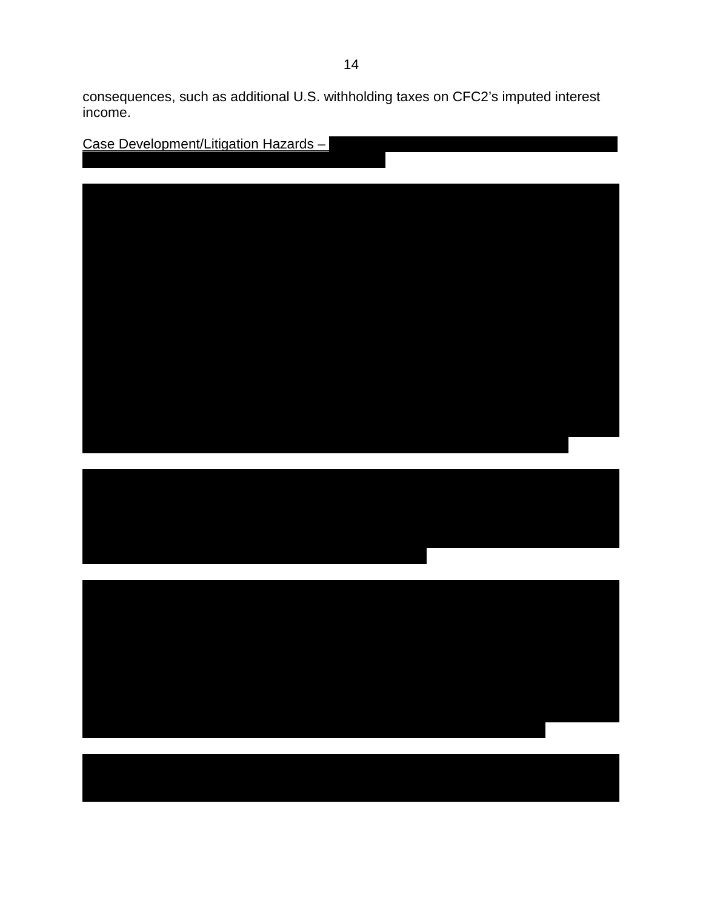consequences, such as additional U.S. withholding taxes on CFC2's imputed interest income.

| Case Development/Litigation Hazards - |  |
|---------------------------------------|--|
|                                       |  |
|                                       |  |
|                                       |  |
|                                       |  |
|                                       |  |
|                                       |  |
|                                       |  |
|                                       |  |
|                                       |  |
|                                       |  |
|                                       |  |
|                                       |  |
|                                       |  |
|                                       |  |
|                                       |  |
|                                       |  |
|                                       |  |
|                                       |  |
|                                       |  |
|                                       |  |
|                                       |  |
|                                       |  |
|                                       |  |
|                                       |  |
|                                       |  |
|                                       |  |
|                                       |  |
|                                       |  |
|                                       |  |
|                                       |  |
|                                       |  |
|                                       |  |
|                                       |  |
|                                       |  |
|                                       |  |
|                                       |  |
|                                       |  |
|                                       |  |
|                                       |  |
|                                       |  |
|                                       |  |
|                                       |  |
|                                       |  |
|                                       |  |
|                                       |  |
|                                       |  |
|                                       |  |
|                                       |  |
|                                       |  |
|                                       |  |
|                                       |  |
|                                       |  |
|                                       |  |
|                                       |  |